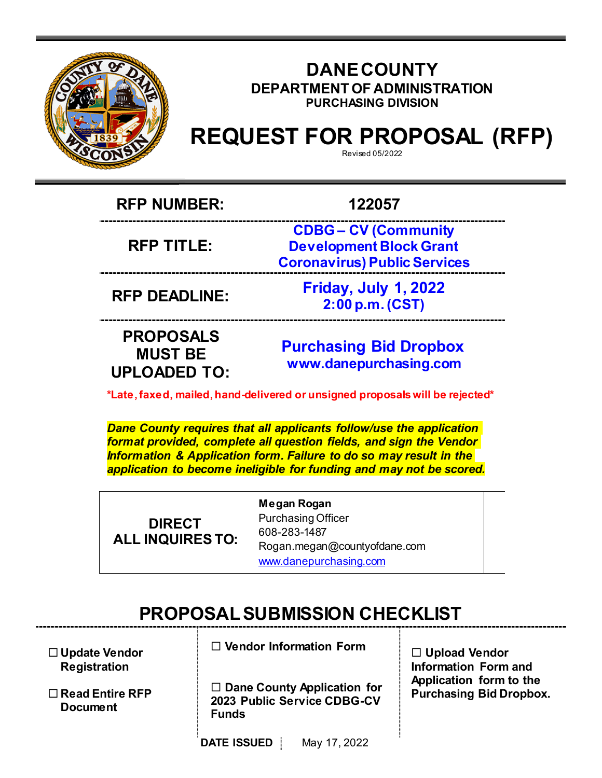

# **DANECOUNTY DEPARTMENT OF ADMINISTRATION PURCHASING DIVISION**

# **REQUEST FOR PROPOSAL (RFP)**

Revised 05/2022

**RFP NUMBER: 122057**

**RFP TITLE:**

**CDBG – CV (Community Development Block Grant Coronavirus) Public Services** 

**RFP DEADLINE: Friday, July 1, 2022 2:00 p.m. (CST)** 

**PROPOSALS MUST BE UPLOADED TO:**

**[Purchasing](mailto:BIDS@COUNTYOFDANE.COM) Bid Dropbox [www.danepurchasing.com](http://www.danepurchasing.com/)**

**\*Late,faxed, mailed,hand-delivered or unsigned proposals will be rejected\***

*Dane County requires that all applicants follow/use the application format provided, complete all question fields, and sign the Vendor Information & Application form. Failure to do so may result in the application to become ineligible for funding and may not be scored.*

**DIRECT ALL INQUIRES TO:** **Megan Rogan** Purchasing Officer 608-283-1487 [Rogan.megan@countyofdane.com](mailto:Rogan.megan@countyofdane.com) [www.danepurchasing.com](http://www.danepurchasing.com/)

# **PROPOSALSUBMISSION CHECKLIST**

 **Update Vendor Registration**

 **Read Entire RFP Document**

**Vendor Information Form**

 **Dane County Application for 2023 Public Service CDBG-CV Funds**

 **Upload Vendor Information Form and Application form to the Purchasing Bid Dropbox.**

**DATE ISSUED** May 17, 2022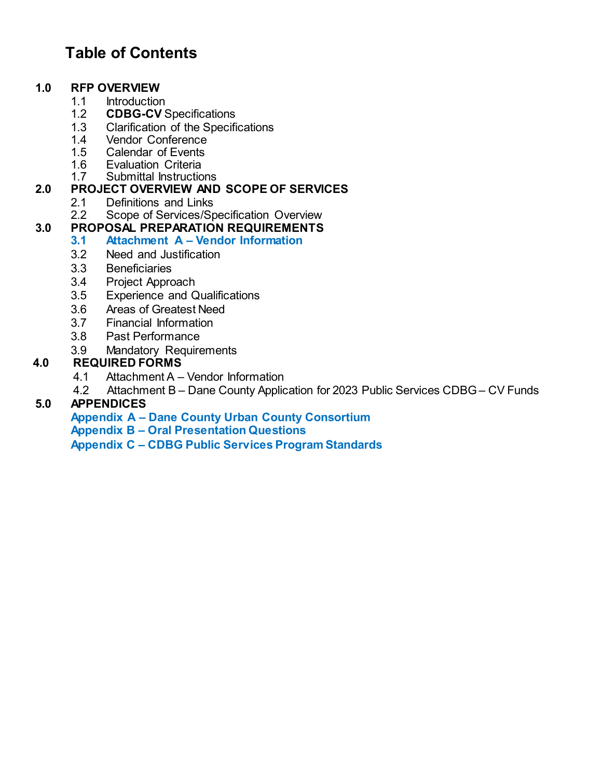# **Table of Contents**

# **1.0 RFP OVERVIEW**

- 1.1 Introduction<br>1.2 **CDBG-CV**S
- 1.2 **CDBG-CV** Specifications
- 1.3 Clarification of the Specifications<br>1.4 Vendor Conference
- 1.4 Vendor Conference<br>1.5 Calendar of Events
- 1.5 Calendar of Events<br>1.6 Evaluation Criteria
- 1.6 Evaluation Criteria<br>1.7 Submittal Instructio
- Submittal Instructions

# **2.0 PROJECT OVERVIEW AND SCOPE OF SERVICES**

- 2.1 Definitions and Links<br>2.2 Scope of Services/Sp
- Scope of Services/Specification Overview

# **3.0 PROPOSAL PREPARATION REQUIREMENTS**

# **3.1 Attachment A – Vendor Information**

- 3.2 Need and Justification
- 3.3 Beneficiaries
- 3.4 Project Approach<br>3.5 Experience and Q
- **Experience and Qualifications**
- 3.6 Areas of Greatest Need
- 3.7 Financial Information
- 3.8 Past Performance
- 3.9 Mandatory Requirements

# **4.0 REQUIRED FORMS**

- 4.1 Attachment A Vendor Information<br>4.2 Attachment B Dane County Applic
- Attachment B Dane County Application for 2023 Public Services CDBG CV Funds

# **5.0 APPENDICES**

**Appendix A – Dane County Urban County Consortium Appendix B – Oral Presentation Questions Appendix C – CDBG Public Services Program Standards**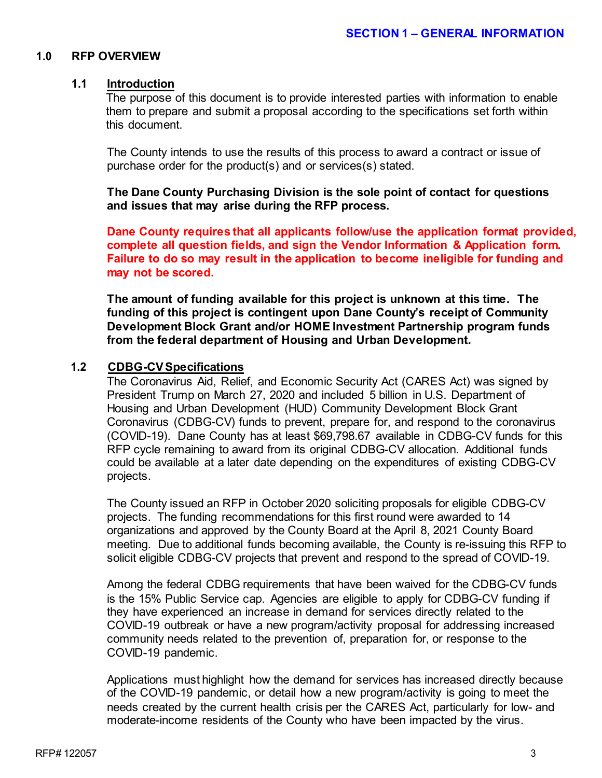#### **1.0 RFP OVERVIEW**

#### **1.1 Introduction**

The purpose of this document is to provide interested parties with information to enable them to prepare and submit a proposal according to the specifications set forth within this document.

The County intends to use the results of this process to award a contract or issue of purchase order for the product(s) and or services(s) stated.

**The Dane County Purchasing Division is the sole point of contact for questions and issues that may arise during the RFP process.**

**Dane County requires that all applicants follow/use the application format provided, complete all question fields, and sign the Vendor Information & Application form. Failure to do so may result in the application to become ineligible for funding and may not be scored.**

**The amount of funding available for this project is unknown at this time. The funding of this project is contingent upon Dane County's receipt of Community Development Block Grant and/or HOME Investment Partnership program funds from the federal department of Housing and Urban Development.**

#### **1.2 CDBG-CVSpecifications**

The Coronavirus Aid, Relief, and Economic Security Act (CARES Act) was signed by President Trump on March 27, 2020 and included 5 billion in U.S. Department of Housing and Urban Development (HUD) Community Development Block Grant Coronavirus (CDBG-CV) funds to prevent, prepare for, and respond to the coronavirus (COVID-19). Dane County has at least \$69,798.67 available in CDBG-CV funds for this RFP cycle remaining to award from its original CDBG-CV allocation. Additional funds could be available at a later date depending on the expenditures of existing CDBG-CV projects.

The County issued an RFP in October 2020 soliciting proposals for eligible CDBG-CV projects. The funding recommendations for this first round were awarded to 14 organizations and approved by the County Board at the April 8, 2021 County Board meeting. Due to additional funds becoming available, the County is re-issuing this RFP to solicit eligible CDBG-CV projects that prevent and respond to the spread of COVID-19.

Among the federal CDBG requirements that have been waived for the CDBG-CV funds is the 15% Public Service cap. Agencies are eligible to apply for CDBG-CV funding if they have experienced an increase in demand for services directly related to the COVID-19 outbreak or have a new program/activity proposal for addressing increased community needs related to the prevention of, preparation for, or response to the COVID-19 pandemic.

Applications must highlight how the demand for services has increased directly because of the COVID-19 pandemic, or detail how a new program/activity is going to meet the needs created by the current health crisis per the CARES Act, particularly for low- and moderate-income residents of the County who have been impacted by the virus.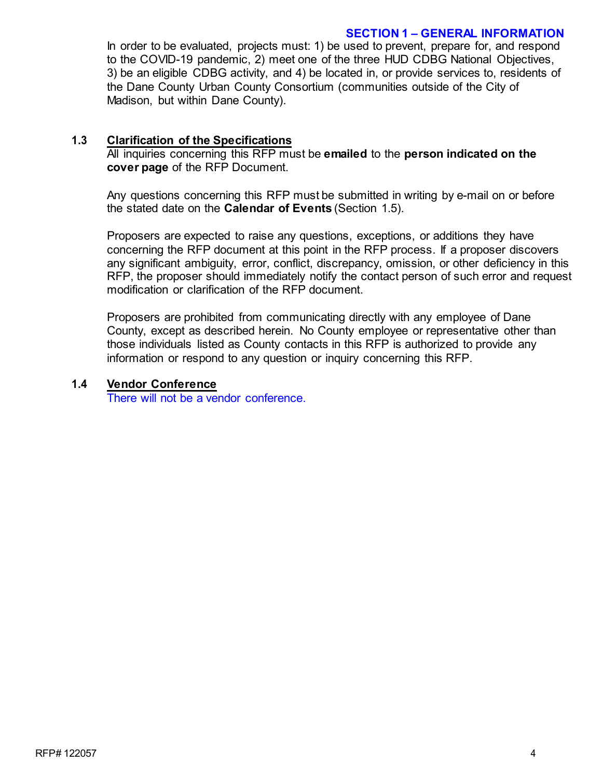#### **SECTION 1 – GENERAL INFORMATION**

In order to be evaluated, projects must: 1) be used to prevent, prepare for, and respond to the COVID-19 pandemic, 2) meet one of the three HUD CDBG National Objectives, 3) be an eligible CDBG activity, and 4) be located in, or provide services to, residents of the Dane County Urban County Consortium (communities outside of the City of Madison, but within Dane County).

# **1.3 Clarification of the Specifications**

All inquiries concerning this RFP must be **emailed** to the **person indicated on the cover page** of the RFP Document.

Any questions concerning this RFP must be submitted in writing by e-mail on or before the stated date on the **Calendar of Events** (Section 1.5).

Proposers are expected to raise any questions, exceptions, or additions they have concerning the RFP document at this point in the RFP process. If a proposer discovers any significant ambiguity, error, conflict, discrepancy, omission, or other deficiency in this RFP, the proposer should immediately notify the contact person of such error and request modification or clarification of the RFP document.

Proposers are prohibited from communicating directly with any employee of Dane County, except as described herein. No County employee or representative other than those individuals listed as County contacts in this RFP is authorized to provide any information or respond to any question or inquiry concerning this RFP.

# **1.4 Vendor Conference**

There will not be a vendor conference.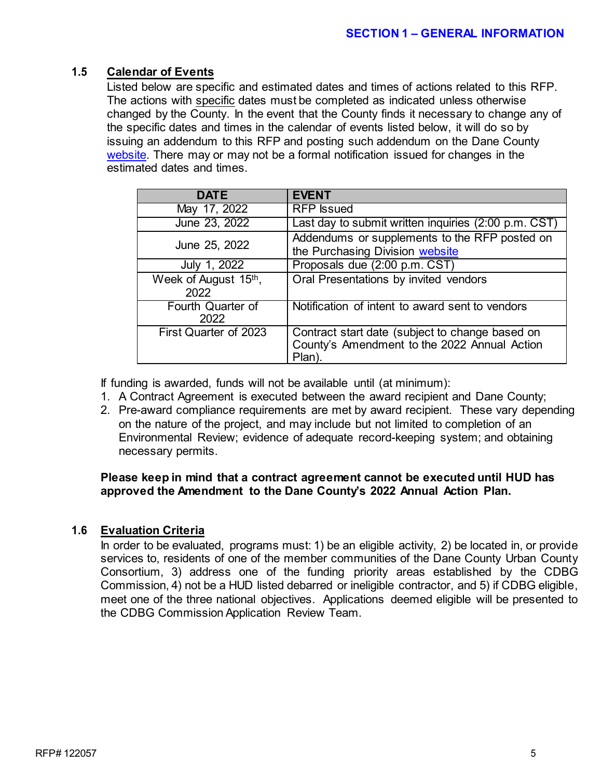# **1.5 Calendar of Events**

Listed below are specific and estimated dates and times of actions related to this RFP. The actions with specific dates must be completed as indicated unless otherwise changed by the County. In the event that the County finds it necessary to change any of the specific dates and times in the calendar of events listed below, it will do so by issuing an addendum to this RFP and posting such addendum on the Dane County [website.](http://www.danepurchasing.com/) There may or may not be a formal notification issued for changes in the estimated dates and times.

| <b>DATE</b>                  | <b>FVFNT</b>                                                                                             |
|------------------------------|----------------------------------------------------------------------------------------------------------|
| May 17, 2022                 | <b>RFP</b> Issued                                                                                        |
| June 23, 2022                | Last day to submit written inquiries (2:00 p.m. CST)                                                     |
| June 25, 2022                | Addendums or supplements to the RFP posted on<br>the Purchasing Division website                         |
| July 1, 2022                 | Proposals due (2:00 p.m. CST)                                                                            |
| Week of August 15th,<br>2022 | Oral Presentations by invited vendors                                                                    |
| Fourth Quarter of<br>2022    | Notification of intent to award sent to vendors                                                          |
| First Quarter of 2023        | Contract start date (subject to change based on<br>County's Amendment to the 2022 Annual Action<br>Plan) |

If funding is awarded, funds will not be available until (at minimum):

- 1. A Contract Agreement is executed between the award recipient and Dane County;
- 2. Pre-award compliance requirements are met by award recipient. These vary depending on the nature of the project, and may include but not limited to completion of an Environmental Review; evidence of adequate record-keeping system; and obtaining necessary permits.

# **Please keep in mind that a contract agreement cannot be executed until HUD has approved the Amendment to the Dane County's 2022 Annual Action Plan.**

# **1.6 Evaluation Criteria**

In order to be evaluated, programs must: 1) be an eligible activity, 2) be located in, or provide services to, residents of one of the member communities of the Dane County Urban County Consortium, 3) address one of the funding priority areas established by the CDBG Commission, 4) not be a HUD listed debarred or ineligible contractor, and 5) if CDBG eligible, meet one of the three national objectives. Applications deemed eligible will be presented to the CDBG Commission Application Review Team.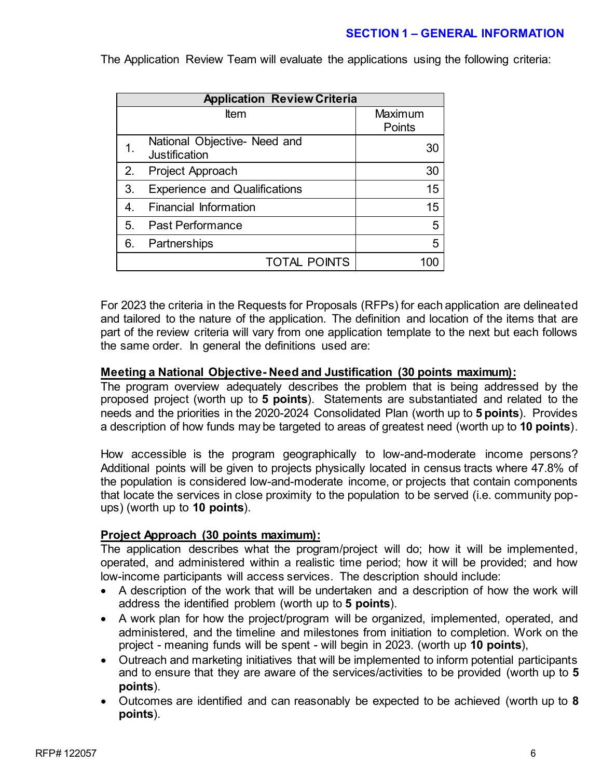# **SECTION 1 – GENERAL INFORMATION**

The Application Review Team will evaluate the applications using the following criteria:

| <b>Application Review Criteria</b> |                                               |                   |  |  |
|------------------------------------|-----------------------------------------------|-------------------|--|--|
| Item                               |                                               | Maximum<br>Points |  |  |
|                                    | National Objective- Need and<br>Justification | 30                |  |  |
| 2.                                 | Project Approach                              | 30                |  |  |
| 3.                                 | <b>Experience and Qualifications</b>          | 15                |  |  |
| 4.                                 | <b>Financial Information</b>                  | 15                |  |  |
| 5.                                 | <b>Past Performance</b>                       | 5                 |  |  |
| 6.                                 | Partnerships                                  | 5                 |  |  |
|                                    | <b>TOTAL POINTS</b>                           |                   |  |  |

For 2023 the criteria in the Requests for Proposals (RFPs) for each application are delineated and tailored to the nature of the application. The definition and location of the items that are part of the review criteria will vary from one application template to the next but each follows the same order. In general the definitions used are:

# **Meeting a National Objective- Need and Justification (30 points maximum):**

The program overview adequately describes the problem that is being addressed by the proposed project (worth up to **5 points**). Statements are substantiated and related to the needs and the priorities in the 2020-2024 Consolidated Plan (worth up to **5 points**). Provides a description of how funds may be targeted to areas of greatest need (worth up to **10 points**).

How accessible is the program geographically to low-and-moderate income persons? Additional points will be given to projects physically located in census tracts where 47.8% of the population is considered low-and-moderate income, or projects that contain components that locate the services in close proximity to the population to be served (i.e. community popups) (worth up to **10 points**).

# **Project Approach (30 points maximum):**

The application describes what the program/project will do; how it will be implemented, operated, and administered within a realistic time period; how it will be provided; and how low-income participants will access services. The description should include:

- A description of the work that will be undertaken and a description of how the work will address the identified problem (worth up to **5 points**).
- A work plan for how the project/program will be organized, implemented, operated, and administered, and the timeline and milestones from initiation to completion. Work on the project - meaning funds will be spent - will begin in 2023. (worth up **10 points**),
- Outreach and marketing initiatives that will be implemented to inform potential participants and to ensure that they are aware of the services/activities to be provided (worth up to **5 points**).
- Outcomes are identified and can reasonably be expected to be achieved (worth up to **8 points**).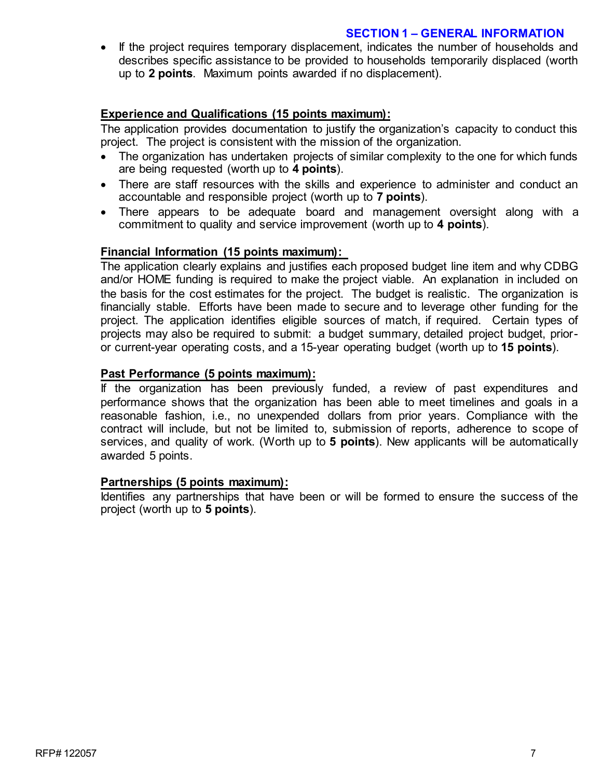### **SECTION 1 – GENERAL INFORMATION**

• If the project requires temporary displacement, indicates the number of households and describes specific assistance to be provided to households temporarily displaced (worth up to **2 points**. Maximum points awarded if no displacement).

# **Experience and Qualifications (15 points maximum):**

The application provides documentation to justify the organization's capacity to conduct this project. The project is consistent with the mission of the organization.

- The organization has undertaken projects of similar complexity to the one for which funds are being requested (worth up to **4 points**).
- There are staff resources with the skills and experience to administer and conduct an accountable and responsible project (worth up to **7 points**).
- There appears to be adequate board and management oversight along with a commitment to quality and service improvement (worth up to **4 points**).

#### **Financial Information (15 points maximum):**

The application clearly explains and justifies each proposed budget line item and why CDBG and/or HOME funding is required to make the project viable. An explanation in included on the basis for the cost estimates for the project. The budget is realistic. The organization is financially stable. Efforts have been made to secure and to leverage other funding for the project. The application identifies eligible sources of match, if required. Certain types of projects may also be required to submit: a budget summary, detailed project budget, prioror current-year operating costs, and a 15-year operating budget (worth up to **15 points**).

#### **Past Performance (5 points maximum):**

If the organization has been previously funded, a review of past expenditures and performance shows that the organization has been able to meet timelines and goals in a reasonable fashion, i.e., no unexpended dollars from prior years. Compliance with the contract will include, but not be limited to, submission of reports, adherence to scope of services, and quality of work. (Worth up to **5 points**). New applicants will be automatically awarded 5 points.

#### **Partnerships (5 points maximum):**

Identifies any partnerships that have been or will be formed to ensure the success of the project (worth up to **5 points**).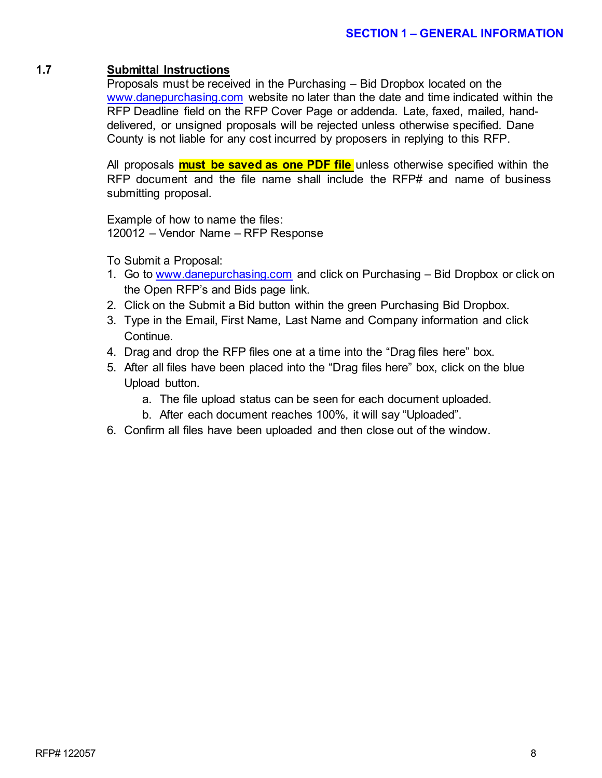#### **1.7 Submittal Instructions**

Proposals must be received in the Purchasing – Bid Dropbox located on the [www.danepurchasing.com](http://www.danepurchasing.com/) website no later than the date and time indicated within the RFP Deadline field on the RFP Cover Page or addenda. Late, faxed, mailed, handdelivered, or unsigned proposals will be rejected unless otherwise specified. Dane County is not liable for any cost incurred by proposers in replying to this RFP.

All proposals **must be saved as one PDF file** unless otherwise specified within the RFP document and the file name shall include the RFP# and name of business submitting proposal.

Example of how to name the files: 120012 – Vendor Name – RFP Response

To Submit a Proposal:

- 1. Go to [www.danepurchasing.com](http://www.danepurchasing.com/) and click on Purchasing Bid Dropbox or click on the Open RFP's and Bids page link.
- 2. Click on the Submit a Bid button within the green Purchasing Bid Dropbox.
- 3. Type in the Email, First Name, Last Name and Company information and click Continue.
- 4. Drag and drop the RFP files one at a time into the "Drag files here" box.
- 5. After all files have been placed into the "Drag files here" box, click on the blue Upload button.
	- a. The file upload status can be seen for each document uploaded.
	- b. After each document reaches 100%, it will say "Uploaded".
- 6. Confirm all files have been uploaded and then close out of the window.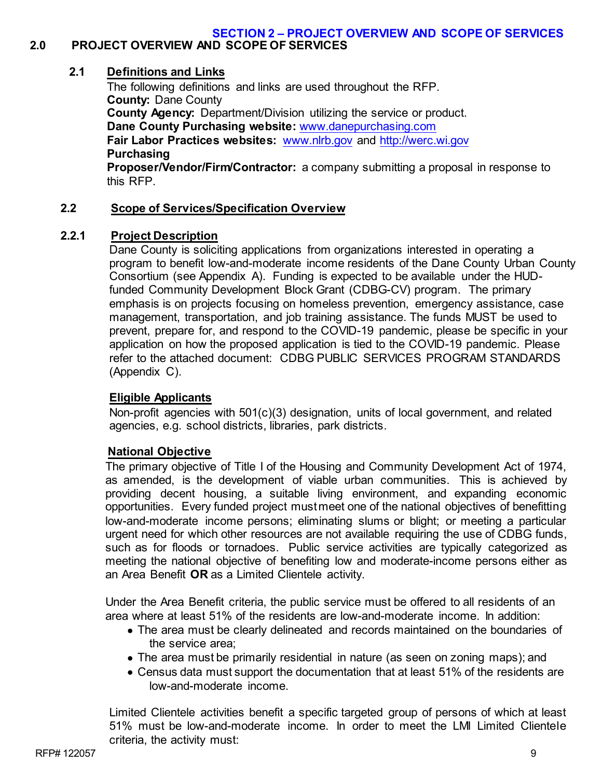#### **SECTION 2 – PROJECT OVERVIEW AND SCOPE OF SERVICES 2.0 PROJECT OVERVIEW AND SCOPE OF SERVICES**

# **2.1 Definitions and Links**

The following definitions and links are used throughout the RFP. **County:** Dane County **County Agency:** Department/Division utilizing the service or product. **Dane County Purchasing website:** [www.danepurchasing.com](http://www.danepurchasing.com/) **Fair Labor Practices websites:** [www.nlrb.gov](http://www.nlrb.gov/) and [http://werc.wi.gov](http://werc.wi.gov/) **Purchasing Proposer/Vendor/Firm/Contractor:** a company submitting a proposal in response to this RFP.

# **2.2 Scope of Services/Specification Overview**

# **2.2.1 Project Description**

Dane County is soliciting applications from organizations interested in operating a program to benefit low-and-moderate income residents of the Dane County Urban County Consortium (see Appendix A). Funding is expected to be available under the HUDfunded Community Development Block Grant (CDBG-CV) program. The primary emphasis is on projects focusing on homeless prevention, emergency assistance, case management, transportation, and job training assistance. The funds MUST be used to prevent, prepare for, and respond to the COVID-19 pandemic, please be specific in your application on how the proposed application is tied to the COVID-19 pandemic. Please refer to the attached document: CDBG PUBLIC SERVICES PROGRAM STANDARDS (Appendix C).

# **Eligible Applicants**

Non-profit agencies with 501(c)(3) designation, units of local government, and related agencies, e.g. school districts, libraries, park districts.

# **National Objective**

The primary objective of Title I of the Housing and Community Development Act of 1974, as amended, is the development of viable urban communities. This is achieved by providing decent housing, a suitable living environment, and expanding economic opportunities. Every funded project mustmeet one of the national objectives of benefitting low-and-moderate income persons; eliminating slums or blight; or meeting a particular urgent need for which other resources are not available requiring the use of CDBG funds, such as for floods or tornadoes. Public service activities are typically categorized as meeting the national objective of benefiting low and moderate-income persons either as an Area Benefit **OR** as a Limited Clientele activity.

Under the Area Benefit criteria, the public service must be offered to all residents of an area where at least 51% of the residents are low-and-moderate income. In addition:

- The area must be clearly delineated and records maintained on the boundaries of the service area;
- The area must be primarily residential in nature (as seen on zoning maps); and
- Census data must support the documentation that at least 51% of the residents are low-and-moderate income.

Limited Clientele activities benefit a specific targeted group of persons of which at least 51% must be low-and-moderate income. In order to meet the LMI Limited Clientele criteria, the activity must: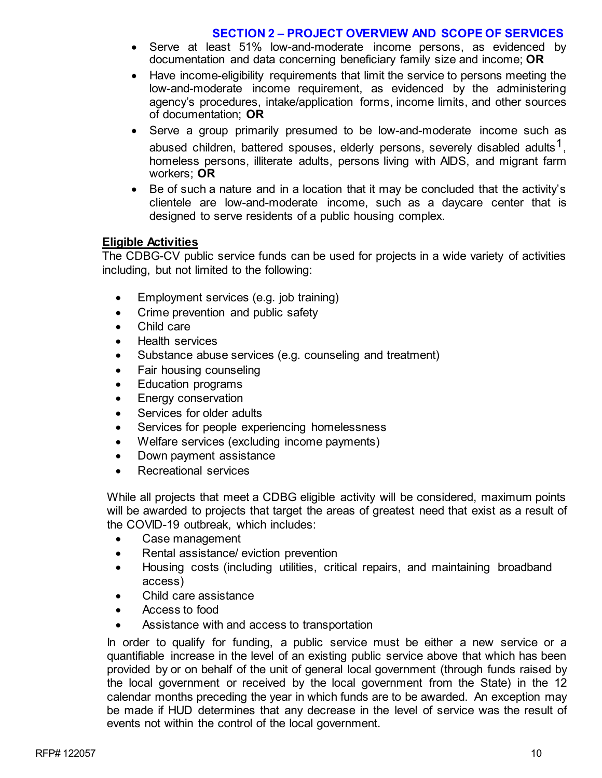#### **SECTION 2 – PROJECT OVERVIEW AND SCOPE OF SERVICES**

- Serve at least 51% low-and-moderate income persons, as evidenced by documentation and data concerning beneficiary family size and income; **OR**
- Have income-eligibility requirements that limit the service to persons meeting the low-and-moderate income requirement, as evidenced by the administering agency's procedures, intake/application forms, income limits, and other sources of documentation; **OR**
- Serve a group primarily presumed to be low-and-moderate income such as abused children, battered spouses, elderly persons, severely disabled adults<sup>1</sup>, homeless persons, illiterate adults, persons living with AIDS, and migrant farm workers; **OR**
- Be of such a nature and in a location that it may be concluded that the activity's clientele are low-and-moderate income, such as a daycare center that is designed to serve residents of a public housing complex.

# **Eligible Activities**

The CDBG-CV public service funds can be used for projects in a wide variety of activities including, but not limited to the following:

- Employment services (e.g. job training)
- Crime prevention and public safety
- Child care
- Health services
- Substance abuse services (e.g. counseling and treatment)
- Fair housing counseling
- Education programs
- Energy conservation
- Services for older adults
- Services for people experiencing homelessness
- Welfare services (excluding income payments)
- Down payment assistance
- Recreational services

While all projects that meet a CDBG eligible activity will be considered, maximum points will be awarded to projects that target the areas of greatest need that exist as a result of the COVID-19 outbreak, which includes:

- Case management
- Rental assistance/ eviction prevention
- Housing costs (including utilities, critical repairs, and maintaining broadband access)
- Child care assistance
- Access to food
- Assistance with and access to transportation

In order to qualify for funding, a public service must be either a new service or a quantifiable increase in the level of an existing public service above that which has been provided by or on behalf of the unit of general local government (through funds raised by the local government or received by the local government from the State) in the 12 calendar months preceding the year in which funds are to be awarded. An exception may be made if HUD determines that any decrease in the level of service was the result of events not within the control of the local government.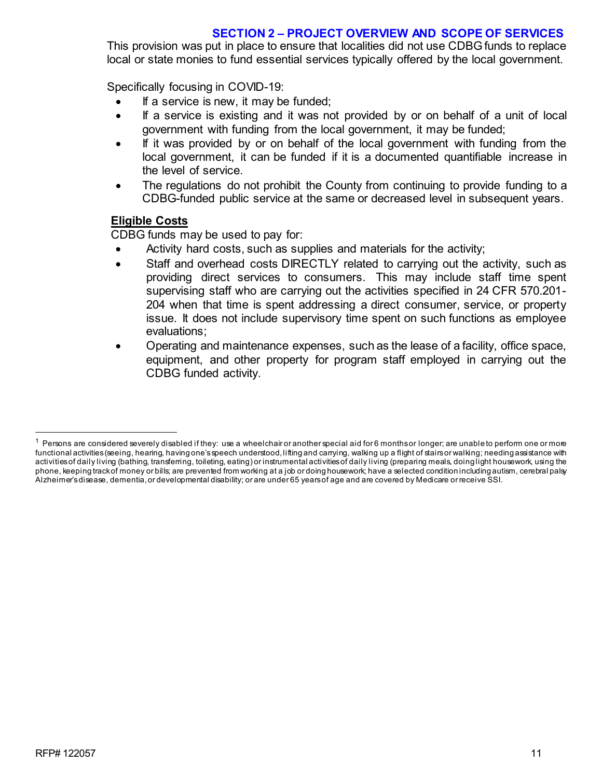# **SECTION 2 – PROJECT OVERVIEW AND SCOPE OF SERVICES**

This provision was put in place to ensure that localities did not use CDBG funds to replace local or state monies to fund essential services typically offered by the local government.

Specifically focusing in COVID-19:

- If a service is new, it may be funded;
- If a service is existing and it was not provided by or on behalf of a unit of local government with funding from the local government, it may be funded;
- If it was provided by or on behalf of the local government with funding from the local government, it can be funded if it is a documented quantifiable increase in the level of service.
- The regulations do not prohibit the County from continuing to provide funding to a CDBG-funded public service at the same or decreased level in subsequent years.

# **Eligible Costs**

CDBG funds may be used to pay for:

- Activity hard costs, such as supplies and materials for the activity;
- Staff and overhead costs DIRECTLY related to carrying out the activity, such as providing direct services to consumers. This may include staff time spent supervising staff who are carrying out the activities specified in 24 CFR 570.201- 204 when that time is spent addressing a direct consumer, service, or property issue. It does not include supervisory time spent on such functions as employee evaluations;
- Operating and maintenance expenses, such as the lease of a facility, office space, equipment, and other property for program staff employed in carrying out the CDBG funded activity.

 $1$  Persons are considered severely disabled if they: use a wheelchair or another special aid for 6 months or longer; are unable to perform one or more functional activities(seeing, hearing, having one'sspeech understood,lifting and carrying, walking up a flight of stairsor walking; needing assistance with activities of daily living (bathing, transferring, toileting, eating) or instrumental activities of daily living (preparing meals, doing light housework, using the phone, keeping trackof money or bills; are prevented from working at a job or doing housework; have a selected condition including autism, cerebral palsy Alzheimer's disease, dementia, or developmental disability; or are under 65 years of age and are covered by Medicare or receive SSI.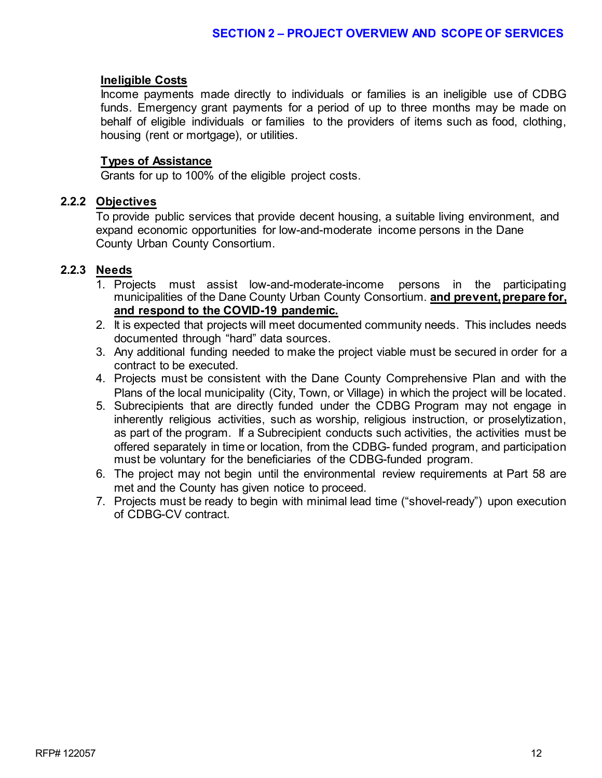# **Ineligible Costs**

Income payments made directly to individuals or families is an ineligible use of CDBG funds. Emergency grant payments for a period of up to three months may be made on behalf of eligible individuals or families to the providers of items such as food, clothing, housing (rent or mortgage), or utilities.

#### **Types of Assistance**

Grants for up to 100% of the eligible project costs.

#### **2.2.2 Objectives**

To provide public services that provide decent housing, a suitable living environment, and expand economic opportunities for low-and-moderate income persons in the Dane County Urban County Consortium.

# **2.2.3 Needs**

- 1. Projects must assist low-and-moderate-income persons in the participating municipalities of the Dane County Urban County Consortium. **and prevent, prepare for, and respond to the COVID-19 pandemic.**
- 2. It is expected that projects will meet documented community needs. This includes needs documented through "hard" data sources.
- 3. Any additional funding needed to make the project viable must be secured in order for a contract to be executed.
- 4. Projects must be consistent with the Dane County Comprehensive Plan and with the Plans of the local municipality (City, Town, or Village) in which the project will be located.
- 5. Subrecipients that are directly funded under the CDBG Program may not engage in inherently religious activities, such as worship, religious instruction, or proselytization, as part of the program. If a Subrecipient conducts such activities, the activities must be offered separately in time or location, from the CDBG- funded program, and participation must be voluntary for the beneficiaries of the CDBG-funded program.
- 6. The project may not begin until the environmental review requirements at Part 58 are met and the County has given notice to proceed.
- 7. Projects must be ready to begin with minimal lead time ("shovel-ready") upon execution of CDBG-CV contract.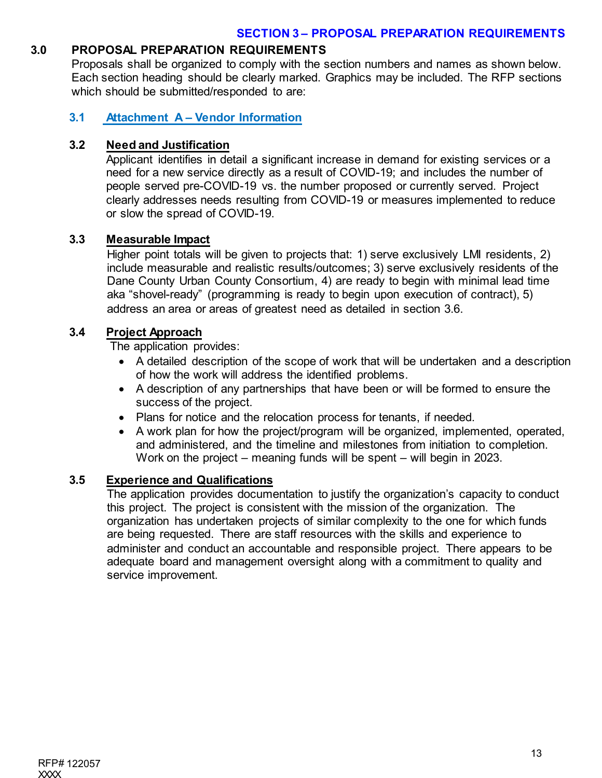# **3.0 PROPOSAL PREPARATION REQUIREMENTS**

Proposals shall be organized to comply with the section numbers and names as shown below. Each section heading should be clearly marked. Graphics may be included. The RFP sections which should be submitted/responded to are:

# **3.1 Attachment A – Vendor Information**

# **3.2 Need and Justification**

Applicant identifies in detail a significant increase in demand for existing services or a need for a new service directly as a result of COVID-19; and includes the number of people served pre-COVID-19 vs. the number proposed or currently served. Project clearly addresses needs resulting from COVID-19 or measures implemented to reduce or slow the spread of COVID-19.

# **3.3 Measurable Impact**

Higher point totals will be given to projects that: 1) serve exclusively LMI residents, 2) include measurable and realistic results/outcomes; 3) serve exclusively residents of the Dane County Urban County Consortium, 4) are ready to begin with minimal lead time aka "shovel-ready" (programming is ready to begin upon execution of contract), 5) address an area or areas of greatest need as detailed in section 3.6.

# **3.4 Project Approach**

The application provides:

- A detailed description of the scope of work that will be undertaken and a description of how the work will address the identified problems.
- A description of any partnerships that have been or will be formed to ensure the success of the project.
- Plans for notice and the relocation process for tenants, if needed.
- A work plan for how the project/program will be organized, implemented, operated, and administered, and the timeline and milestones from initiation to completion. Work on the project – meaning funds will be spent – will begin in 2023.

# **3.5 Experience and Qualifications**

The application provides documentation to justify the organization's capacity to conduct this project. The project is consistent with the mission of the organization. The organization has undertaken projects of similar complexity to the one for which funds are being requested. There are staff resources with the skills and experience to administer and conduct an accountable and responsible project. There appears to be adequate board and management oversight along with a commitment to quality and service improvement.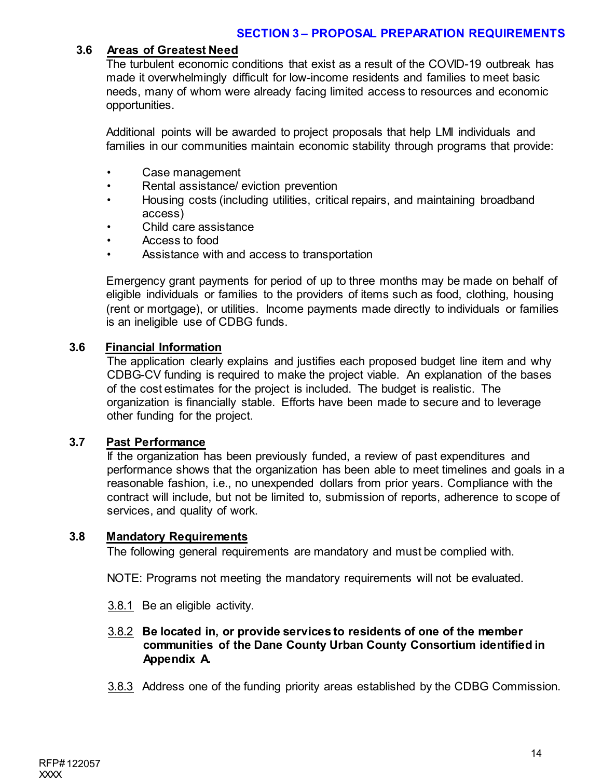# **3.6 Areas of Greatest Need**

The turbulent economic conditions that exist as a result of the COVID-19 outbreak has made it overwhelmingly difficult for low-income residents and families to meet basic needs, many of whom were already facing limited access to resources and economic opportunities.

Additional points will be awarded to project proposals that help LMI individuals and families in our communities maintain economic stability through programs that provide:

- Case management
- Rental assistance/ eviction prevention
- Housing costs (including utilities, critical repairs, and maintaining broadband access)
- Child care assistance
- Access to food
- Assistance with and access to transportation

Emergency grant payments for period of up to three months may be made on behalf of eligible individuals or families to the providers of items such as food, clothing, housing (rent or mortgage), or utilities. Income payments made directly to individuals or families is an ineligible use of CDBG funds.

# **3.6 Financial Information**

The application clearly explains and justifies each proposed budget line item and why CDBG-CV funding is required to make the project viable. An explanation of the bases of the cost estimates for the project is included. The budget is realistic. The organization is financially stable. Efforts have been made to secure and to leverage other funding for the project.

#### **3.7 Past Performance**

If the organization has been previously funded, a review of past expenditures and performance shows that the organization has been able to meet timelines and goals in a reasonable fashion, i.e., no unexpended dollars from prior years. Compliance with the contract will include, but not be limited to, submission of reports, adherence to scope of services, and quality of work.

### **3.8 Mandatory Requirements**

The following general requirements are mandatory and must be complied with.

NOTE: Programs not meeting the mandatory requirements will not be evaluated.

3.8.1 Be an eligible activity.

# 3.8.2 **Be located in, or provide services to residents of one of the member communities of the Dane County Urban County Consortium identified in Appendix A.**

3.8.3 Address one of the funding priority areas established by the CDBG Commission.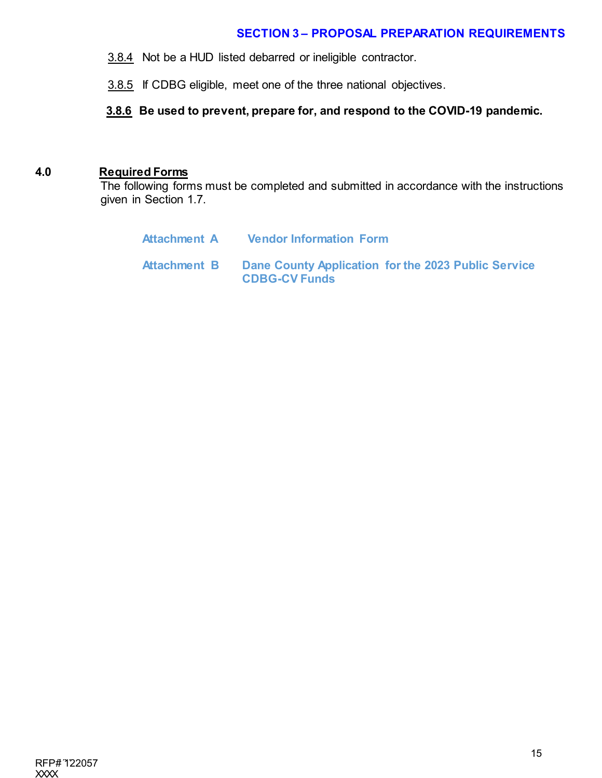# **SECTION 3 – PROPOSAL PREPARATION REQUIREMENTS**

3.8.4 Not be a HUD listed debarred or ineligible contractor.

3.8.5 If CDBG eligible, meet one of the three national objectives.

**3.8.6 Be used to prevent, prepare for, and respond to the COVID-19 pandemic.** 

#### **4.0 Required Forms**

The following forms must be completed and submitted in accordance with the instructions given in Section 1.7.

| Attachment A | <b>Vendor Information Form</b>                                              |
|--------------|-----------------------------------------------------------------------------|
| Attachment B | Dane County Application for the 2023 Public Service<br><b>CDBG-CV Funds</b> |